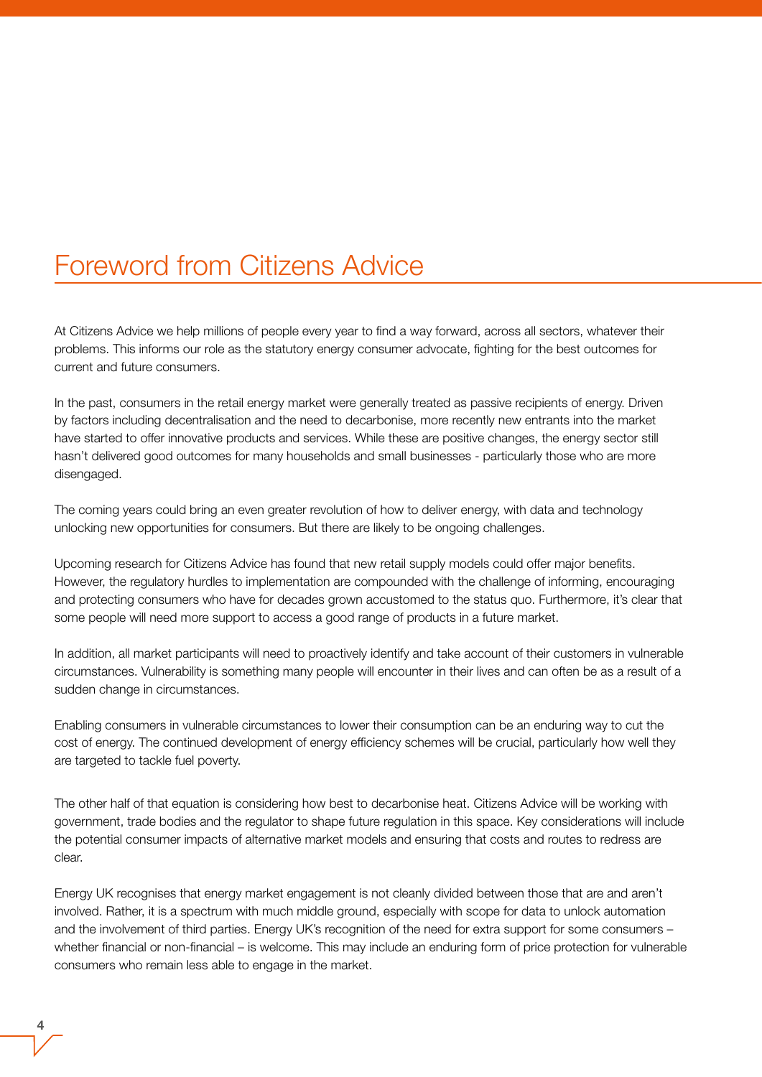## Foreword from Citizens Advice

At Citizens Advice we help millions of people every year to find a way forward, across all sectors, whatever their problems. This informs our role as the statutory energy consumer advocate, fighting for the best outcomes for current and future consumers.

In the past, consumers in the retail energy market were generally treated as passive recipients of energy. Driven by factors including decentralisation and the need to decarbonise, more recently new entrants into the market have started to offer innovative products and services. While these are positive changes, the energy sector still hasn't delivered good outcomes for many households and small businesses - particularly those who are more disengaged.

The coming years could bring an even greater revolution of how to deliver energy, with data and technology unlocking new opportunities for consumers. But there are likely to be ongoing challenges.

Upcoming research for Citizens Advice has found that new retail supply models could offer major benefits. However, the regulatory hurdles to implementation are compounded with the challenge of informing, encouraging and protecting consumers who have for decades grown accustomed to the status quo. Furthermore, it's clear that some people will need more support to access a good range of products in a future market.

In addition, all market participants will need to proactively identify and take account of their customers in vulnerable circumstances. Vulnerability is something many people will encounter in their lives and can often be as a result of a sudden change in circumstances.

Enabling consumers in vulnerable circumstances to lower their consumption can be an enduring way to cut the cost of energy. The continued development of energy efficiency schemes will be crucial, particularly how well they are targeted to tackle fuel poverty.

The other half of that equation is considering how best to decarbonise heat. Citizens Advice will be working with government, trade bodies and the regulator to shape future regulation in this space. Key considerations will include the potential consumer impacts of alternative market models and ensuring that costs and routes to redress are clear.

Energy UK recognises that energy market engagement is not cleanly divided between those that are and aren't involved. Rather, it is a spectrum with much middle ground, especially with scope for data to unlock automation and the involvement of third parties. Energy UK's recognition of the need for extra support for some consumers – whether financial or non-financial – is welcome. This may include an enduring form of price protection for vulnerable consumers who remain less able to engage in the market.